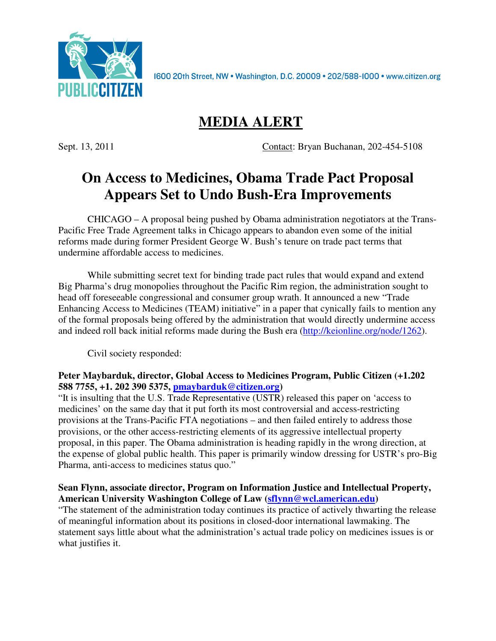

1600 20th Street, NW . Washington, D.C. 20009 . 202/588-1000 . www.citizen.org

# **MEDIA ALERT**

Sept. 13, 2011 Contact: Bryan Buchanan, 202-454-5108

# **On Access to Medicines, Obama Trade Pact Proposal Appears Set to Undo Bush-Era Improvements**

CHICAGO – A proposal being pushed by Obama administration negotiators at the Trans-Pacific Free Trade Agreement talks in Chicago appears to abandon even some of the initial reforms made during former President George W. Bush's tenure on trade pact terms that undermine affordable access to medicines.

While submitting secret text for binding trade pact rules that would expand and extend Big Pharma's drug monopolies throughout the Pacific Rim region, the administration sought to head off foreseeable congressional and consumer group wrath. It announced a new "Trade Enhancing Access to Medicines (TEAM) initiative" in a paper that cynically fails to mention any of the formal proposals being offered by the administration that would directly undermine access and indeed roll back initial reforms made during the Bush era (http://keionline.org/node/1262).

Civil society responded:

#### **Peter Maybarduk, director, Global Access to Medicines Program, Public Citizen (+1.202 588 7755, +1. 202 390 5375, pmaybarduk@citizen.org)**

"It is insulting that the U.S. Trade Representative (USTR) released this paper on 'access to medicines' on the same day that it put forth its most controversial and access-restricting provisions at the Trans-Pacific FTA negotiations – and then failed entirely to address those provisions, or the other access-restricting elements of its aggressive intellectual property proposal, in this paper. The Obama administration is heading rapidly in the wrong direction, at the expense of global public health. This paper is primarily window dressing for USTR's pro-Big Pharma, anti-access to medicines status quo."

#### **Sean Flynn, associate director, Program on Information Justice and Intellectual Property, American University Washington College of Law (sflynn@wcl.american.edu)**

"The statement of the administration today continues its practice of actively thwarting the release of meaningful information about its positions in closed-door international lawmaking. The statement says little about what the administration's actual trade policy on medicines issues is or what justifies it.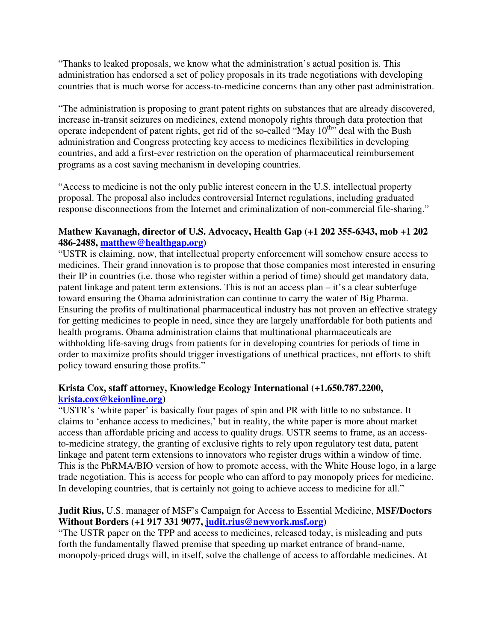"Thanks to leaked proposals, we know what the administration's actual position is. This administration has endorsed a set of policy proposals in its trade negotiations with developing countries that is much worse for access-to-medicine concerns than any other past administration.

"The administration is proposing to grant patent rights on substances that are already discovered, increase in-transit seizures on medicines, extend monopoly rights through data protection that operate independent of patent rights, get rid of the so-called "May  $10^{th}$ " deal with the Bush administration and Congress protecting key access to medicines flexibilities in developing countries, and add a first-ever restriction on the operation of pharmaceutical reimbursement programs as a cost saving mechanism in developing countries.

"Access to medicine is not the only public interest concern in the U.S. intellectual property proposal. The proposal also includes controversial Internet regulations, including graduated response disconnections from the Internet and criminalization of non-commercial file-sharing."

#### **Mathew Kavanagh, director of U.S. Advocacy, Health Gap (+1 202 355-6343, mob +1 202 486-2488, matthew@healthgap.org)**

"USTR is claiming, now, that intellectual property enforcement will somehow ensure access to medicines. Their grand innovation is to propose that those companies most interested in ensuring their IP in countries (i.e. those who register within a period of time) should get mandatory data, patent linkage and patent term extensions. This is not an access plan – it's a clear subterfuge toward ensuring the Obama administration can continue to carry the water of Big Pharma. Ensuring the profits of multinational pharmaceutical industry has not proven an effective strategy for getting medicines to people in need, since they are largely unaffordable for both patients and health programs. Obama administration claims that multinational pharmaceuticals are withholding life-saving drugs from patients for in developing countries for periods of time in order to maximize profits should trigger investigations of unethical practices, not efforts to shift policy toward ensuring those profits."

## **Krista Cox, staff attorney, Knowledge Ecology International (+1.650.787.2200, krista.cox@keionline.org)**

"USTR's 'white paper' is basically four pages of spin and PR with little to no substance. It claims to 'enhance access to medicines,' but in reality, the white paper is more about market access than affordable pricing and access to quality drugs. USTR seems to frame, as an accessto-medicine strategy, the granting of exclusive rights to rely upon regulatory test data, patent linkage and patent term extensions to innovators who register drugs within a window of time. This is the PhRMA/BIO version of how to promote access, with the White House logo, in a large trade negotiation. This is access for people who can afford to pay monopoly prices for medicine. In developing countries, that is certainly not going to achieve access to medicine for all."

## **Judit Rius,** U.S. manager of MSF's Campaign for Access to Essential Medicine, **MSF/Doctors Without Borders (+1 917 331 9077, judit.rius@newyork.msf.org)**

"The USTR paper on the TPP and access to medicines, released today, is misleading and puts forth the fundamentally flawed premise that speeding up market entrance of brand-name, monopoly-priced drugs will, in itself, solve the challenge of access to affordable medicines. At